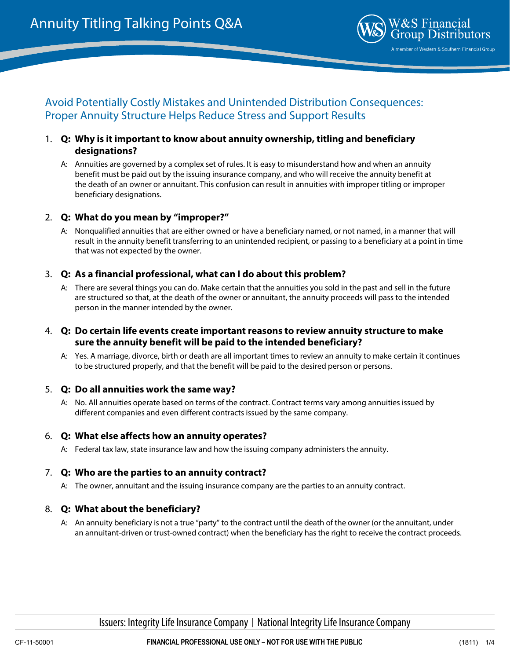

# Avoid Potentially Costly Mistakes and Unintended Distribution Consequences: Proper Annuity Structure Helps Reduce Stress and Support Results

- 1. **Q: Why is it important to know about annuity ownership, titling and beneficiary designations?**
	- A: Annuities are governed by a complex set of rules. It is easy to misunderstand how and when an annuity benefit must be paid out by the issuing insurance company, and who will receive the annuity benefit at the death of an owner or annuitant. This confusion can result in annuities with improper titling or improper beneficiary designations.

### 2. **Q: What do you mean by "improper?"**

A: Nonqualified annuities that are either owned or have a beneficiary named, or not named, in a manner that will result in the annuity benefit transferring to an unintended recipient, or passing to a beneficiary at a point in time that was not expected by the owner.

# 3. **Q: As a financial professional, what can I do about this problem?**

A: There are several things you can do. Make certain that the annuities you sold in the past and sell in the future are structured so that, at the death of the owner or annuitant, the annuity proceeds will pass to the intended person in the manner intended by the owner.

### 4. **Q: Do certain life events create important reasons to review annuity structure to make sure the annuity benefit will be paid to the intended beneficiary?**

A: Yes. A marriage, divorce, birth or death are all important times to review an annuity to make certain it continues to be structured properly, and that the benefit will be paid to the desired person or persons.

#### 5. **Q: Do all annuities work the same way?**

A: No. All annuities operate based on terms of the contract. Contract terms vary among annuities issued by different companies and even different contracts issued by the same company.

# 6. **Q: What else affects how an annuity operates?**

A: Federal tax law, state insurance law and how the issuing company administers the annuity.

# 7. **Q: Who are the parties to an annuity contract?**

A: The owner, annuitant and the issuing insurance company are the parties to an annuity contract.

# 8. **Q: What about the beneficiary?**

A: An annuity beneficiary is not a true "party" to the contract until the death of the owner (or the annuitant, under an annuitant-driven or trust-owned contract) when the beneficiary has the right to receive the contract proceeds.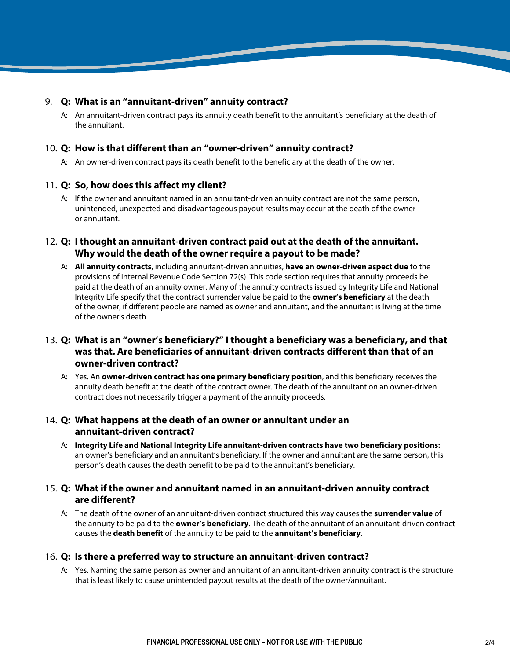### 9. **Q: What is an "annuitant-driven" annuity contract?**

A: An annuitant-driven contract pays its annuity death benefit to the annuitant's beneficiary at the death of the annuitant.

#### 10. **Q: How is that different than an "owner-driven" annuity contract?**

A: An owner-driven contract pays its death benefit to the beneficiary at the death of the owner.

### 11. **Q: So, how does this affect my client?**

A: If the owner and annuitant named in an annuitant-driven annuity contract are not the same person, unintended, unexpected and disadvantageous payout results may occur at the death of the owner or annuitant.

# 12. **Q: I thought an annuitant-driven contract paid out at the death of the annuitant. Why would the death of the owner require a payout to be made?**

A: **All annuity contracts**, including annuitant-driven annuities, **have an owner-driven aspect due** to the provisions of Internal Revenue Code Section 72(s). This code section requires that annuity proceeds be paid at the death of an annuity owner. Many of the annuity contracts issued by Integrity Life and National Integrity Life specify that the contract surrender value be paid to the **owner's beneficiary** at the death of the owner, if different people are named as owner and annuitant, and the annuitant is living at the time of the owner's death.

# 13. **Q: What is an "owner's beneficiary?" I thought a beneficiary was a beneficiary, and that was that. Are beneficiaries of annuitant-driven contracts different than that of an owner-driven contract?**

A: Yes. An **owner-driven contract has one primary beneficiary position**, and this beneficiary receives the annuity death benefit at the death of the contract owner. The death of the annuitant on an owner-driven contract does not necessarily trigger a payment of the annuity proceeds.

# 14. **Q: What happens at the death of an owner or annuitant under an annuitant-driven contract?**

A: **Integrity Life and National Integrity Life annuitant-driven contracts have two beneficiary positions:** an owner's beneficiary and an annuitant's beneficiary. If the owner and annuitant are the same person, this person's death causes the death benefit to be paid to the annuitant's beneficiary.

# 15. **Q: What if the owner and annuitant named in an annuitant-driven annuity contract are different?**

A: The death of the owner of an annuitant-driven contract structured this way causes the **surrender value** of the annuity to be paid to the **owner's beneficiary**. The death of the annuitant of an annuitant-driven contract causes the **death benefit** of the annuity to be paid to the **annuitant's beneficiary**.

# 16. **Q: Is there a preferred way to structure an annuitant-driven contract?**

A: Yes. Naming the same person as owner and annuitant of an annuitant-driven annuity contract is the structure that is least likely to cause unintended payout results at the death of the owner/annuitant.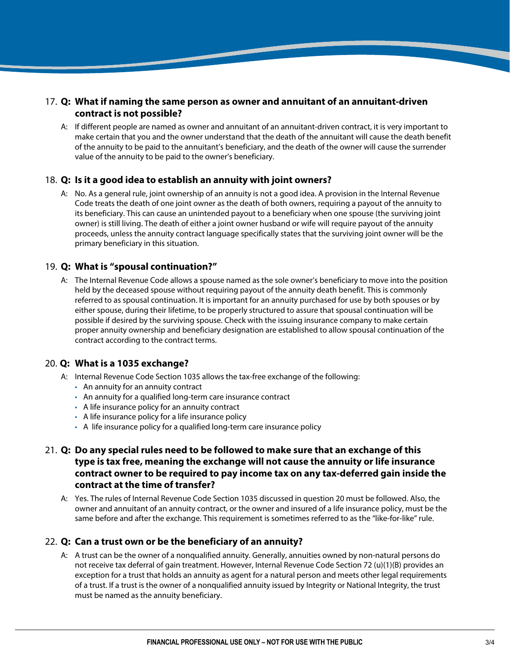# 17. **Q: What if naming the same person as owner and annuitant of an annuitant-driven contract is not possible?**

A: If different people are named as owner and annuitant of an annuitant-driven contract, it is very important to make certain that you and the owner understand that the death of the annuitant will cause the death benefit of the annuity to be paid to the annuitant's beneficiary, and the death of the owner will cause the surrender value of the annuity to be paid to the owner's beneficiary.

### 18. **Q: Is it a good idea to establish an annuity with joint owners?**

A: No. As a general rule, joint ownership of an annuity is not a good idea. A provision in the Internal Revenue Code treats the death of one joint owner as the death of both owners, requiring a payout of the annuity to its beneficiary. This can cause an unintended payout to a beneficiary when one spouse (the surviving joint owner) is still living. The death of either a joint owner husband or wife will require payout of the annuity proceeds, unless the annuity contract language specifically states that the surviving joint owner will be the primary beneficiary in this situation.

### 19. **Q: What is "spousal continuation?"**

A: The Internal Revenue Code allows a spouse named as the sole owner's beneficiary to move into the position held by the deceased spouse without requiring payout of the annuity death benefit. This is commonly referred to as spousal continuation. It is important for an annuity purchased for use by both spouses or by either spouse, during their lifetime, to be properly structured to assure that spousal continuation will be possible if desired by the surviving spouse. Check with the issuing insurance company to make certain proper annuity ownership and beneficiary designation are established to allow spousal continuation of the contract according to the contract terms.

# 20. **Q: What is a 1035 exchange?**

- A: Internal Revenue Code Section 1035 allows the tax-free exchange of the following:
	- An annuity for an annuity contract
	- An annuity for a qualified long-term care insurance contract
	- A life insurance policy for an annuity contract
	- A life insurance policy for a life insurance policy
	- A life insurance policy for a qualified long-term care insurance policy

# 21. **Q: Do any special rules need to be followed to make sure that an exchange of this type is tax free, meaning the exchange will not cause the annuity or life insurance contract owner to be required to pay income tax on any tax-deferred gain inside the contract at the time of transfer?**

A: Yes. The rules of Internal Revenue Code Section 1035 discussed in question 20 must be followed. Also, the owner and annuitant of an annuity contract, or the owner and insured of a life insurance policy, must be the same before and after the exchange. This requirement is sometimes referred to as the "like-for-like" rule.

# 22. **Q: Can a trust own or be the beneficiary of an annuity?**

A: A trust can be the owner of a nonqualified annuity. Generally, annuities owned by non-natural persons do not receive tax deferral of gain treatment. However, Internal Revenue Code Section 72 (u)(1)(B) provides an exception for a trust that holds an annuity as agent for a natural person and meets other legal requirements of a trust. If a trust is the owner of a nonqualified annuity issued by Integrity or National Integrity, the trust must be named as the annuity beneficiary.